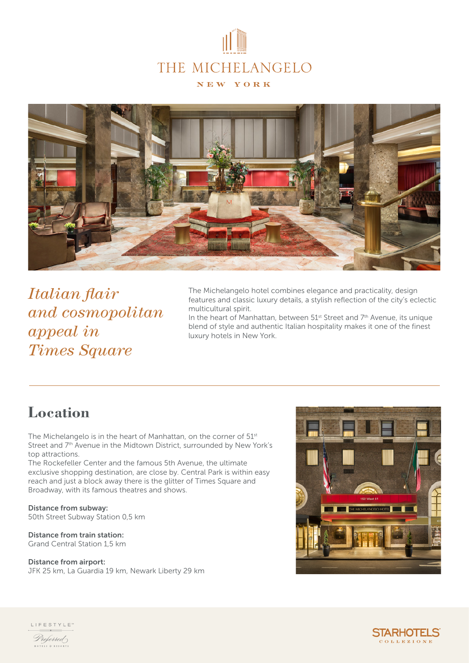



*Italian flair and cosmopolitan appeal in Times Square*

The Michelangelo hotel combines elegance and practicality, design features and classic luxury details, a stylish reflection of the city's eclectic multicultural spirit.

In the heart of Manhattan, between  $51^{st}$  Street and  $7^{th}$  Avenue, its unique blend of style and authentic Italian hospitality makes it one of the finest luxury hotels in New York.

#### **Location**

The Michelangelo is in the heart of Manhattan, on the corner of 51<sup>st</sup> Street and 7<sup>th</sup> Avenue in the Midtown District, surrounded by New York's top attractions.

The Rockefeller Center and the famous 5th Avenue, the ultimate exclusive shopping destination, are close by. Central Park is within easy reach and just a block away there is the glitter of Times Square and Broadway, with its famous theatres and shows.

Distance from subway: 50th Street Subway Station 0,5 km

#### Distance from train station: Grand Central Station 1,5 km

Distance from airport:

JFK 25 km, La Guardia 19 km, Newark Liberty 29 km